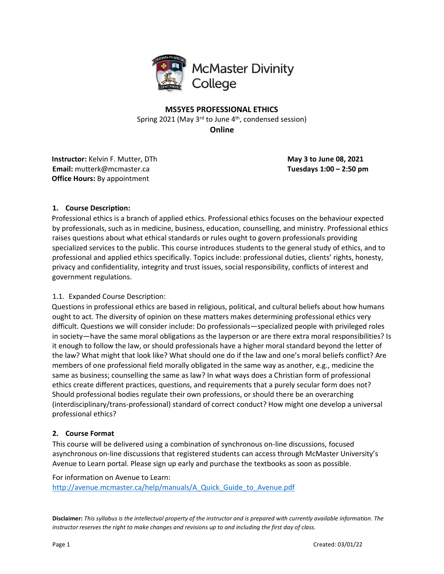

**MS5YE5 PROFESSIONAL ETHICS** Spring 2021 (May  $3^{rd}$  to June  $4^{th}$ , condensed session) **Online**

**Instructor:** Kelvin F. Mutter, DTh **May 3 to June 08, 2021 Email:** mutterk@mcmaster.ca **Tuesdays 1:00 – 2:50 pm Office Hours:** By appointment

## **1. Course Description:**

Professional ethics is a branch of applied ethics. Professional ethics focuses on the behaviour expected by professionals, such as in medicine, business, education, counselling, and ministry. Professional ethics raises questions about what ethical standards or rules ought to govern professionals providing specialized services to the public. This course introduces students to the general study of ethics, and to professional and applied ethics specifically. Topics include: professional duties, clients' rights, honesty, privacy and confidentiality, integrity and trust issues, social responsibility, conflicts of interest and government regulations.

## 1.1. Expanded Course Description:

Questions in professional ethics are based in religious, political, and cultural beliefs about how humans ought to act. The diversity of opinion on these matters makes determining professional ethics very difficult. Questions we will consider include: Do professionals—specialized people with privileged roles in society—have the same moral obligations as the layperson or are there extra moral responsibilities? Is it enough to follow the law, or should professionals have a higher moral standard beyond the letter of the law? What might that look like? What should one do if the law and one's moral beliefs conflict? Are members of one professional field morally obligated in the same way as another, e.g., medicine the same as business; counselling the same as law? In what ways does a Christian form of professional ethics create different practices, questions, and requirements that a purely secular form does not? Should professional bodies regulate their own professions, or should there be an overarching (interdisciplinary/trans-professional) standard of correct conduct? How might one develop a universal professional ethics?

## **2. Course Format**

This course will be delivered using a combination of synchronous on-line discussions, focused asynchronous on-line discussions that registered students can access through McMaster University's Avenue to Learn portal. Please sign up early and purchase the textbooks as soon as possible.

For information on Avenue to Learn: http://avenue.mcmaster.ca/help/manuals/A\_Quick\_Guide\_to\_Avenue.pdf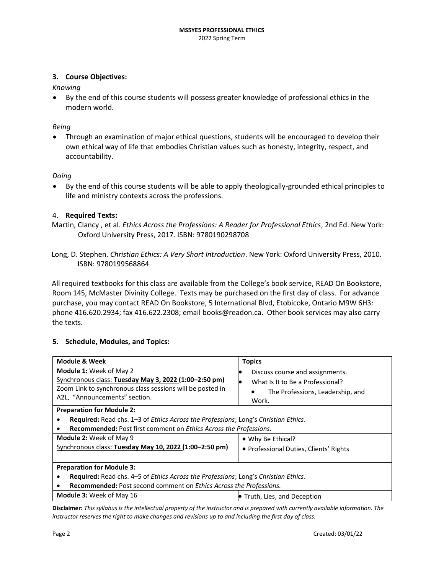### **3. Course Objectives:**

*Knowing* 

• By the end of this course students will possess greater knowledge of professional ethics in the modern world.

*Being* 

• Through an examination of major ethical questions, students will be encouraged to develop their own ethical way of life that embodies Christian values such as honesty, integrity, respect, and accountability.

#### *Doing*

• By the end of this course students will be able to apply theologically-grounded ethical principles to life and ministry contexts across the professions.

#### 4. **Required Texts:**

- Martin, Clancy , et al. *Ethics Across the Professions: A Reader for Professional Ethics*, 2nd Ed. New York: Oxford University Press, 2017. ISBN: 9780190298708
- Long, D. Stephen. *Christian Ethics: A Very Short Introduction*. New York: Oxford University Press, 2010. ISBN: 9780199568864

All required textbooks for this class are available from the College's book service, READ On Bookstore, Room 145, McMaster Divinity College. Texts may be purchased on the first day of class. For advance purchase, you may contact READ On Bookstore, 5 International Blvd, Etobicoke, Ontario M9W 6H3: phone 416.620.2934; fax 416.622.2308; email books@readon.ca. Other book services may also carry the texts.

#### **5. Schedule, Modules, and Topics:**

| <b>Module &amp; Week</b>                                                                                                                                                              | <b>Topics</b>                                                                                                    |  |
|---------------------------------------------------------------------------------------------------------------------------------------------------------------------------------------|------------------------------------------------------------------------------------------------------------------|--|
| <b>Module 1: Week of May 2</b><br>Synchronous class: Tuesday May 3, 2022 (1:00-2:50 pm)<br>Zoom Link to synchronous class sessions will be posted in<br>A2L, "Announcements" section. | Discuss course and assignments.<br>What Is It to Be a Professional?<br>The Professions, Leadership, and<br>Work. |  |
| <b>Preparation for Module 2:</b>                                                                                                                                                      |                                                                                                                  |  |
| Required: Read chs. 1-3 of Ethics Across the Professions; Long's Christian Ethics.                                                                                                    |                                                                                                                  |  |
| Recommended: Post first comment on Ethics Across the Professions.                                                                                                                     |                                                                                                                  |  |
| <b>Module 2: Week of May 9</b>                                                                                                                                                        | • Why Be Ethical?                                                                                                |  |
| Synchronous class: Tuesday May 10, 2022 (1:00-2:50 pm)                                                                                                                                | • Professional Duties, Clients' Rights                                                                           |  |
|                                                                                                                                                                                       |                                                                                                                  |  |
| <b>Preparation for Module 3:</b>                                                                                                                                                      |                                                                                                                  |  |
| Required: Read chs. 4–5 of Ethics Across the Professions; Long's Christian Ethics.                                                                                                    |                                                                                                                  |  |
| Recommended: Post second comment on Ethics Across the Professions.                                                                                                                    |                                                                                                                  |  |
| <b>Module 3: Week of May 16</b>                                                                                                                                                       | • Truth, Lies, and Deception                                                                                     |  |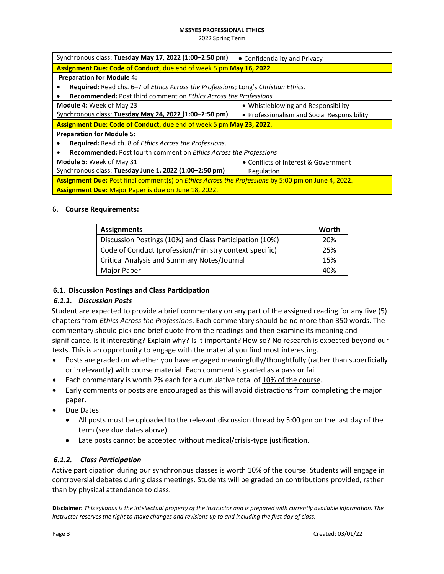#### **MS5YE5 PROFESSIONAL ETHICS**

2022 Spring Term

| Synchronous class: Tuesday May 17, 2022 (1:00-2:50 pm)                                                    | • Confidentiality and Privacy               |  |
|-----------------------------------------------------------------------------------------------------------|---------------------------------------------|--|
| Assignment Due: Code of Conduct, due end of week 5 pm May 16, 2022.                                       |                                             |  |
| <b>Preparation for Module 4:</b>                                                                          |                                             |  |
| Required: Read chs. 6–7 of Ethics Across the Professions; Long's Christian Ethics.                        |                                             |  |
| <b>Recommended:</b> Post third comment on <i>Ethics Across the Professions</i>                            |                                             |  |
| <b>Module 4: Week of May 23</b>                                                                           | • Whistleblowing and Responsibility         |  |
| Synchronous class: Tuesday May 24, 2022 (1:00-2:50 pm)                                                    | • Professionalism and Social Responsibility |  |
| Assignment Due: Code of Conduct, due end of week 5 pm May 23, 2022.                                       |                                             |  |
| <b>Preparation for Module 5:</b>                                                                          |                                             |  |
| Required: Read ch. 8 of Ethics Across the Professions.                                                    |                                             |  |
| <b>Recommended:</b> Post fourth comment on <i>Ethics Across the Professions</i>                           |                                             |  |
| <b>Module 5: Week of May 31</b>                                                                           | • Conflicts of Interest & Government        |  |
| Synchronous class: Tuesday June 1, 2022 (1:00-2:50 pm)                                                    | Regulation                                  |  |
| Assignment Due: Post final comment(s) on <i>Ethics Across the Professions</i> by 5:00 pm on June 4, 2022. |                                             |  |
| <b>Assignment Due: Major Paper is due on June 18, 2022.</b>                                               |                                             |  |

### 6. **Course Requirements:**

| <b>Assignments</b>                                      |     |
|---------------------------------------------------------|-----|
| Discussion Postings (10%) and Class Participation (10%) |     |
| Code of Conduct (profession/ministry context specific)  |     |
| <b>Critical Analysis and Summary Notes/Journal</b>      |     |
| Major Paper                                             | 40% |

## **6.1. Discussion Postings and Class Participation**

## *6.1.1. Discussion Posts*

Student are expected to provide a brief commentary on any part of the assigned reading for any five (5) chapters from *Ethics Across the Professions*. Each commentary should be no more than 350 words. The commentary should pick one brief quote from the readings and then examine its meaning and significance. Is it interesting? Explain why? Is it important? How so? No research is expected beyond our texts. This is an opportunity to engage with the material you find most interesting.

- Posts are graded on whether you have engaged meaningfully/thoughtfully (rather than superficially or irrelevantly) with course material. Each comment is graded as a pass or fail.
- Each commentary is worth 2% each for a cumulative total of 10% of the course.
- Early comments or posts are encouraged as this will avoid distractions from completing the major paper.
- Due Dates:
	- All posts must be uploaded to the relevant discussion thread by 5:00 pm on the last day of the term (see due dates above).
	- Late posts cannot be accepted without medical/crisis-type justification.

# *6.1.2. Class Participation*

Active participation during our synchronous classes is worth 10% of the course. Students will engage in controversial debates during class meetings. Students will be graded on contributions provided, rather than by physical attendance to class.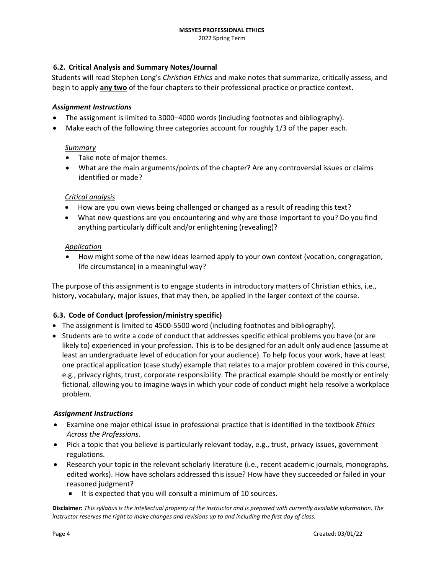## **6.2. Critical Analysis and Summary Notes/Journal**

Students will read Stephen Long's *Christian Ethics* and make notes that summarize, critically assess, and begin to apply **any two** of the four chapters to their professional practice or practice context.

#### *Assignment Instructions*

- The assignment is limited to 3000–4000 words (including footnotes and bibliography).
- Make each of the following three categories account for roughly 1/3 of the paper each.

#### *Summary*

- Take note of major themes.
- What are the main arguments/points of the chapter? Are any controversial issues or claims identified or made?

### *Critical analysis*

- How are you own views being challenged or changed as a result of reading this text?
- What new questions are you encountering and why are those important to you? Do you find anything particularly difficult and/or enlightening (revealing)?

#### *Application*

• How might some of the new ideas learned apply to your own context (vocation, congregation, life circumstance) in a meaningful way?

The purpose of this assignment is to engage students in introductory matters of Christian ethics, i.e., history, vocabulary, major issues, that may then, be applied in the larger context of the course.

### **6.3. Code of Conduct (profession/ministry specific)**

- The assignment is limited to 4500-5500 word (including footnotes and bibliography).
- Students are to write a code of conduct that addresses specific ethical problems you have (or are likely to) experienced in your profession. This is to be designed for an adult only audience (assume at least an undergraduate level of education for your audience). To help focus your work, have at least one practical application (case study) example that relates to a major problem covered in this course, e.g., privacy rights, trust, corporate responsibility. The practical example should be mostly or entirely fictional, allowing you to imagine ways in which your code of conduct might help resolve a workplace problem.

### *Assignment Instructions*

- Examine one major ethical issue in professional practice that is identified in the textbook *Ethics Across the Professions*.
- Pick a topic that you believe is particularly relevant today, e.g., trust, privacy issues, government regulations.
- Research your topic in the relevant scholarly literature (i.e., recent academic journals, monographs, edited works). How have scholars addressed this issue? How have they succeeded or failed in your reasoned judgment?
	- It is expected that you will consult a minimum of 10 sources.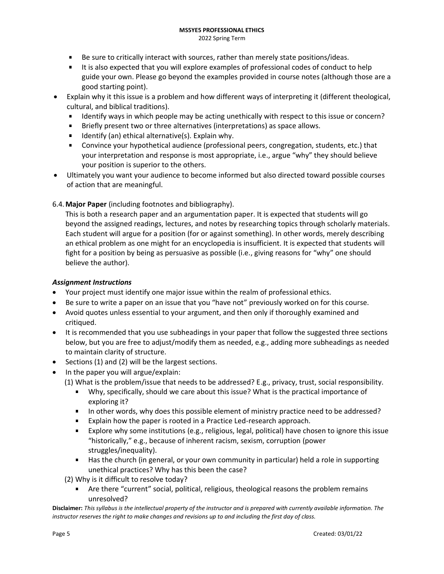- Be sure to critically interact with sources, rather than merely state positions/ideas.
- It is also expected that you will explore examples of professional codes of conduct to help guide your own. Please go beyond the examples provided in course notes (although those are a good starting point).
- Explain why it this issue is a problem and how different ways of interpreting it (different theological, cultural, and biblical traditions).
	- Identify ways in which people may be acting unethically with respect to this issue or concern?
	- $\blacksquare$ Briefly present two or three alternatives (interpretations) as space allows.
	- Identify (an) ethical alternative(s). Explain why.  $\mathbf{R}^{\mathrm{max}}$
	- Convince your hypothetical audience (professional peers, congregation, students, etc.) that your interpretation and response is most appropriate, i.e., argue "why" they should believe your position is superior to the others.
- Ultimately you want your audience to become informed but also directed toward possible courses of action that are meaningful.

# 6.4.**Major Paper** (including footnotes and bibliography).

This is both a research paper and an argumentation paper. It is expected that students will go beyond the assigned readings, lectures, and notes by researching topics through scholarly materials. Each student will argue for a position (for or against something). In other words, merely describing an ethical problem as one might for an encyclopedia is insufficient. It is expected that students will fight for a position by being as persuasive as possible (i.e., giving reasons for "why" one should believe the author).

## *Assignment Instructions*

- Your project must identify one major issue within the realm of professional ethics.
- Be sure to write a paper on an issue that you "have not" previously worked on for this course.
- Avoid quotes unless essential to your argument, and then only if thoroughly examined and critiqued.
- It is recommended that you use subheadings in your paper that follow the suggested three sections below, but you are free to adjust/modify them as needed, e.g., adding more subheadings as needed to maintain clarity of structure.
- Sections (1) and (2) will be the largest sections.
- In the paper you will argue/explain:
	- (1) What is the problem/issue that needs to be addressed? E.g., privacy, trust, social responsibility.
		- Why, specifically, should we care about this issue? What is the practical importance of exploring it?
		- In other words, why does this possible element of ministry practice need to be addressed?
		- Explain how the paper is rooted in a Practice Led-research approach.
		- Explore why some institutions (e.g., religious, legal, political) have chosen to ignore this issue "historically," e.g., because of inherent racism, sexism, corruption (power struggles/inequality).
		- **Has the church (in general, or your own community in particular) held a role in supporting** unethical practices? Why has this been the case?
	- (2) Why is it difficult to resolve today?
		- Are there "current" social, political, religious, theological reasons the problem remains unresolved?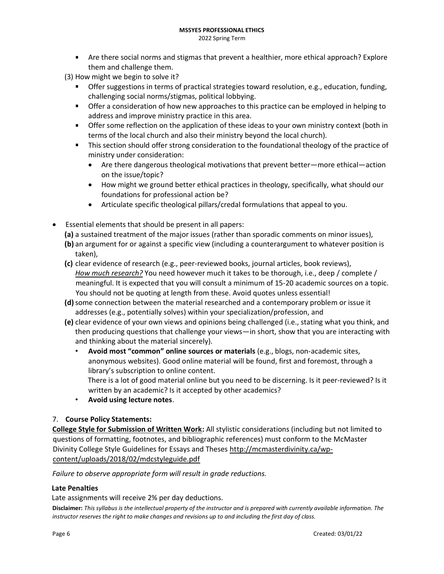- 2022 Spring Term
- Are there social norms and stigmas that prevent a healthier, more ethical approach? Explore them and challenge them.
- (3) How might we begin to solve it?
	- **The Strath Strate strate in terms of practical strategies toward resolution, e.g., education, funding,** challenging social norms/stigmas, political lobbying.
	- **•** Offer a consideration of how new approaches to this practice can be employed in helping to address and improve ministry practice in this area.
	- **The Step Step Step Step is a** Offer some reflection of these ideas to your own ministry context (both in terms of the local church and also their ministry beyond the local church).
	- **This section should offer strong consideration to the foundational theology of the practice of** ministry under consideration:
		- Are there dangerous theological motivations that prevent better—more ethical—action on the issue/topic?
		- How might we ground better ethical practices in theology, specifically, what should our foundations for professional action be?
		- Articulate specific theological pillars/credal formulations that appeal to you.
- Essential elements that should be present in all papers:
	- **(a)** a sustained treatment of the major issues (rather than sporadic comments on minor issues),
	- **(b)** an argument for or against a specific view (including a counterargument to whatever position is taken),
	- **(c)** clear evidence of research (e.g., peer-reviewed books, journal articles, book reviews), *How much research?* You need however much it takes to be thorough, i.e., deep / complete / meaningful. It is expected that you will consult a minimum of 15-20 academic sources on a topic. You should not be quoting at length from these. Avoid quotes unless essential!
	- **(d)**some connection between the material researched and a contemporary problem or issue it addresses (e.g., potentially solves) within your specialization/profession, and
	- **(e)** clear evidence of your own views and opinions being challenged (i.e., stating what you think, and then producing questions that challenge your views—in short, show that you are interacting with and thinking about the material sincerely).
		- **Avoid most "common" online sources or materials** (e.g., blogs, non-academic sites, anonymous websites). Good online material will be found, first and foremost, through a library's subscription to online content.

There is a lot of good material online but you need to be discerning. Is it peer-reviewed? Is it written by an academic? Is it accepted by other academics?

• **Avoid using lecture notes**.

# 7. **Course Policy Statements:**

**College Style for Submission of Written Work:** All stylistic considerations (including but not limited to questions of formatting, footnotes, and bibliographic references) must conform to the McMaster Divinity College Style Guidelines for Essays and Theses http://mcmasterdivinity.ca/wpcontent/uploads/2018/02/mdcstyleguide.pdf

*Failure to observe appropriate form will result in grade reductions.* 

## **Late Penalties**

Late assignments will receive 2% per day deductions.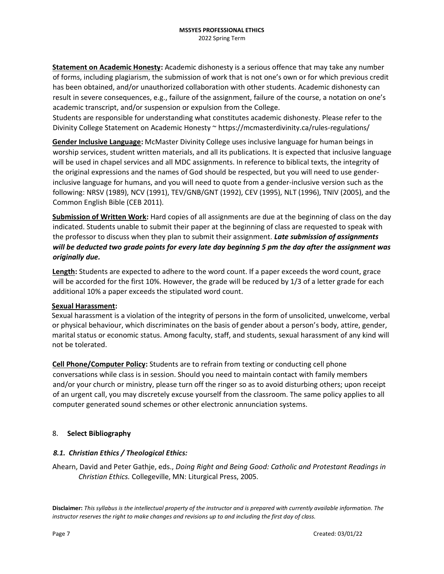**Statement on Academic Honesty:** Academic dishonesty is a serious offence that may take any number of forms, including plagiarism, the submission of work that is not one's own or for which previous credit has been obtained, and/or unauthorized collaboration with other students. Academic dishonesty can result in severe consequences, e.g., failure of the assignment, failure of the course, a notation on one's academic transcript, and/or suspension or expulsion from the College.

Students are responsible for understanding what constitutes academic dishonesty. Please refer to the Divinity College Statement on Academic Honesty ~ https://mcmasterdivinity.ca/rules-regulations/

**Gender Inclusive Language:** McMaster Divinity College uses inclusive language for human beings in worship services, student written materials, and all its publications. It is expected that inclusive language will be used in chapel services and all MDC assignments. In reference to biblical texts, the integrity of the original expressions and the names of God should be respected, but you will need to use genderinclusive language for humans, and you will need to quote from a gender-inclusive version such as the following: NRSV (1989), NCV (1991), TEV/GNB/GNT (1992), CEV (1995), NLT (1996), TNIV (2005), and the Common English Bible (CEB 2011).

**Submission of Written Work:** Hard copies of all assignments are due at the beginning of class on the day indicated. Students unable to submit their paper at the beginning of class are requested to speak with the professor to discuss when they plan to submit their assignment. *Late submission of assignments will be deducted two grade points for every late day beginning 5 pm the day after the assignment was originally due.* 

**Length:** Students are expected to adhere to the word count. If a paper exceeds the word count, grace will be accorded for the first 10%. However, the grade will be reduced by 1/3 of a letter grade for each additional 10% a paper exceeds the stipulated word count.

### **Sexual Harassment:**

Sexual harassment is a violation of the integrity of persons in the form of unsolicited, unwelcome, verbal or physical behaviour, which discriminates on the basis of gender about a person's body, attire, gender, marital status or economic status. Among faculty, staff, and students, sexual harassment of any kind will not be tolerated.

**Cell Phone/Computer Policy:** Students are to refrain from texting or conducting cell phone conversations while class is in session. Should you need to maintain contact with family members and/or your church or ministry, please turn off the ringer so as to avoid disturbing others; upon receipt of an urgent call, you may discretely excuse yourself from the classroom. The same policy applies to all computer generated sound schemes or other electronic annunciation systems.

### 8. **Select Bibliography**

### *8.1. Christian Ethics / Theological Ethics:*

Ahearn, David and Peter Gathje, eds., *Doing Right and Being Good: Catholic and Protestant Readings in Christian Ethics.* Collegeville, MN: Liturgical Press, 2005.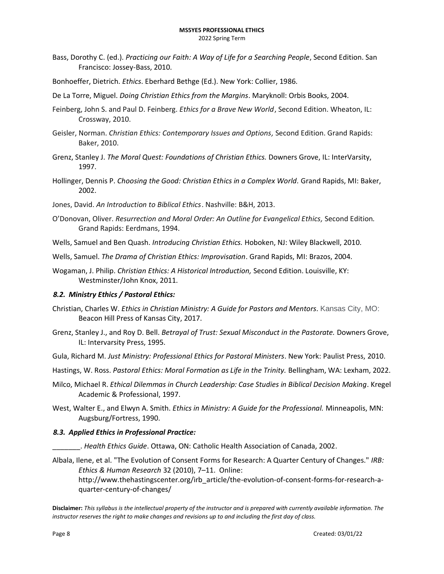- Bass, Dorothy C. (ed.). *Practicing our Faith: A Way of Life for a Searching People*, Second Edition. San Francisco: Jossey-Bass, 2010.
- Bonhoeffer, Dietrich. *Ethics*. Eberhard Bethge (Ed.). New York: Collier, 1986.
- De La Torre, Miguel. *Doing Christian Ethics from the Margins*. Maryknoll: Orbis Books, 2004.
- Feinberg, John S. and Paul D. Feinberg. *Ethics for a Brave New World*, Second Edition. Wheaton, IL: Crossway, 2010.
- Geisler, Norman. *Christian Ethics: Contemporary Issues and Options,* Second Edition. Grand Rapids: Baker, 2010.
- Grenz, Stanley J. *The Moral Quest: Foundations of Christian Ethics.* Downers Grove, IL: InterVarsity, 1997.
- Hollinger, Dennis P. *Choosing the Good: Christian Ethics in a Complex World.* Grand Rapids, MI: Baker, 2002.
- Jones, David. *An Introduction to Biblical Ethics*. Nashville: B&H, 2013.
- O'Donovan, Oliver. *Resurrection and Moral Order: An Outline for Evangelical Ethics,* Second Edition*.* Grand Rapids: Eerdmans, 1994.
- Wells, Samuel and Ben Quash. *Introducing Christian Ethics.* Hoboken, NJ: Wiley Blackwell, 2010.
- Wells, Samuel. *The Drama of Christian Ethics: Improvisation*. Grand Rapids, MI: Brazos, 2004.
- Wogaman, J. Philip. *Christian Ethics: A Historical Introduction,* Second Edition. Louisville, KY: Westminster/John Knox, 2011.

#### *8.2. Ministry Ethics / Pastoral Ethics:*

- Christian, Charles W. *Ethics in Christian Ministry: A Guide for Pastors and Mentors.* Kansas City, MO: Beacon Hill Press of Kansas City, 2017.
- Grenz, Stanley J., and Roy D. Bell. *Betrayal of Trust: Sexual Misconduct in the Pastorate.* Downers Grove, IL: Intervarsity Press, 1995.
- Gula, Richard M. *Just Ministry: Professional Ethics for Pastoral Ministers*. New York: Paulist Press, 2010.
- Hastings, W. Ross. *Pastoral Ethics: Moral Formation as Life in the Trinity.* Bellingham, WA: Lexham, 2022.
- Milco, Michael R. *Ethical Dilemmas in Church Leadership: Case Studies in Biblical Decision Making*. Kregel Academic & Professional, 1997.
- West, Walter E., and Elwyn A. Smith. *Ethics in Ministry: A Guide for the Professional.* Minneapolis, MN: Augsburg/Fortress, 1990.

#### *8.3. Applied Ethics in Professional Practice:*

- \_\_\_\_\_\_\_. *Health Ethics Guide*. Ottawa, ON: Catholic Health Association of Canada, 2002.
- Albala, Ilene, et al. "The Evolution of Consent Forms for Research: A Quarter Century of Changes." *IRB: Ethics & Human Research* 32 (2010), 7–11. Online: http://www.thehastingscenter.org/irb\_article/the-evolution-of-consent-forms-for-research-aquarter-century-of-changes/